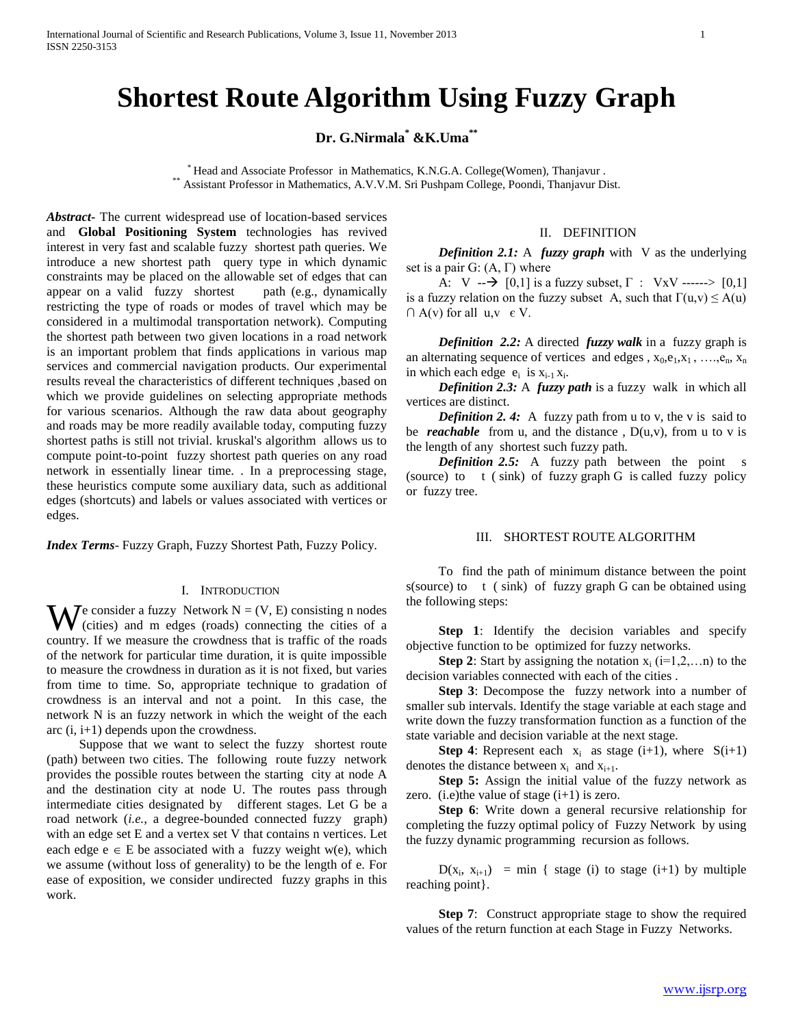# **Shortest Route Algorithm Using Fuzzy Graph**

## **Dr. G.Nirmala\* &K.Uma\*\***

\* Head and Associate Professor in Mathematics, K.N.G.A. College(Women), Thanjavur . \*\* Assistant Professor in Mathematics, A.V.V.M. Sri Pushpam College, Poondi, Thanjavur Dist.

*Abstract***-** The current widespread use of location-based services and **Global Positioning System** technologies has revived interest in very fast and scalable fuzzy shortest path queries. We introduce a new shortest path query type in which dynamic constraints may be placed on the allowable set of edges that can appear on a valid fuzzy shortest path (e.g., dynamically restricting the type of roads or modes of travel which may be considered in a multimodal transportation network). Computing the shortest path between two given locations in a road network is an important problem that finds applications in various map services and commercial navigation products. Our experimental results reveal the characteristics of different techniques ,based on which we provide guidelines on selecting appropriate methods for various scenarios. Although the raw data about geography and roads may be more readily available today, computing fuzzy shortest paths is still not trivial. kruskal's algorithm allows us to compute point-to-point fuzzy shortest path queries on any road network in essentially linear time. . In a preprocessing stage, these heuristics compute some auxiliary data, such as additional edges (shortcuts) and labels or values associated with vertices or edges.

*Index Terms*- Fuzzy Graph, Fuzzy Shortest Path, Fuzzy Policy.

#### I. INTRODUCTION

 $\mathbf{W}$  e consider a fuzzy Network N = (V, E) consisting n nodes<br>(cities) and m edges (roads) connecting the cities of a (cities) and m edges (roads) connecting the cities of a country. If we measure the crowdness that is traffic of the roads of the network for particular time duration, it is quite impossible to measure the crowdness in duration as it is not fixed, but varies from time to time. So, appropriate technique to gradation of crowdness is an interval and not a point. In this case, the network N is an fuzzy network in which the weight of the each arc (i, i+1) depends upon the crowdness.

 Suppose that we want to select the fuzzy shortest route (path) between two cities. The following route fuzzy network provides the possible routes between the starting city at node A and the destination city at node U. The routes pass through intermediate cities designated by different stages. Let G be a road network (*i.e.*, a degree-bounded connected fuzzy graph) with an edge set E and a vertex set V that contains n vertices. Let each edge  $e \in E$  be associated with a fuzzy weight w(e), which we assume (without loss of generality) to be the length of e. For ease of exposition, we consider undirected fuzzy graphs in this work.

#### II. DEFINITION

 *Definition 2.1:* A *fuzzy graph* with V as the underlying set is a pair G:  $(A, \Gamma)$  where

A:  $V \rightarrow [0,1]$  is a fuzzy subset,  $\Gamma$  :  $VxV$  ------> [0,1] is a fuzzy relation on the fuzzy subset A, such that  $\Gamma(u, v) \le A(u)$  $\cap$  A(v) for all u,v  $\in$  V.

 *Definition 2.2:* A directed *fuzzy walk* in afuzzy graph is an alternating sequence of vertices and edges ,  $x_0$ ,  $e_1$ ,  $x_1$ , ...,  $e_n$ ,  $x_n$ in which each edge  $e_i$  is  $x_{i-1}x_i$ .

 *Definition 2.3:* A *fuzzy path* is a fuzzy walk in which all vertices are distinct.

*Definition 2.4:* A fuzzy path from u to v, the v is said to be *reachable* from u, and the distance,  $D(u, v)$ , from u to v is the length of any shortest such fuzzy path.

*Definition 2.5:* A fuzzy path between the point s (source) to t ( sink) of fuzzy graph G is called fuzzy policy or fuzzy tree.

#### III. SHORTEST ROUTE ALGORITHM

 To find the path of minimum distance between the point s(source) to  $t$  ( sink) of fuzzy graph G can be obtained using the following steps:

 **Step 1**: Identify the decision variables and specify objective function to be optimized for fuzzy networks.

**Step 2**: Start by assigning the notation  $x_i$  (i=1,2,...n) to the decision variables connected with each of the cities .

 **Step 3**: Decompose the fuzzy network into a number of smaller sub intervals. Identify the stage variable at each stage and write down the fuzzy transformation function as a function of the state variable and decision variable at the next stage.

**Step 4**: Represent each  $x_i$  as stage (i+1), where  $S(i+1)$ denotes the distance between  $x_i$  and  $x_{i+1}$ .

 **Step 5:** Assign the initial value of the fuzzy network as zero. (i.e)the value of stage  $(i+1)$  is zero.

 **Step 6**: Write down a general recursive relationship for completing the fuzzy optimal policy of Fuzzy Network by using the fuzzy dynamic programming recursion as follows.

 $D(x_i, x_{i+1})$  = min { stage (i) to stage (i+1) by multiple reaching point}.

 **Step 7**: Construct appropriate stage to show the required values of the return function at each Stage in Fuzzy Networks.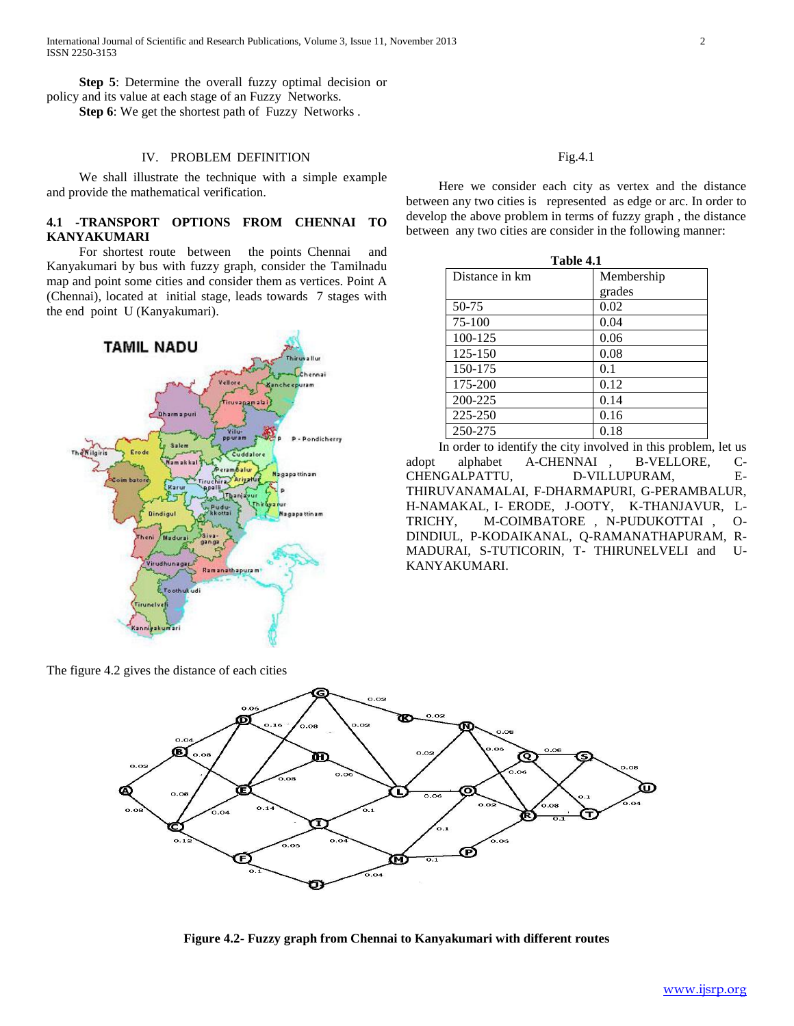International Journal of Scientific and Research Publications, Volume 3, Issue 11, November 2013 2 ISSN 2250-3153

 **Step 5**: Determine the overall fuzzy optimal decision or policy and its value at each stage of an Fuzzy Networks.

**Step 6**: We get the shortest path of Fuzzy Networks .

#### IV. PROBLEM DEFINITION

 We shall illustrate the technique with a simple example and provide the mathematical verification.

### **4.1 -TRANSPORT OPTIONS FROM CHENNAI TO KANYAKUMARI**

 For shortest route between the points Chennai and Kanyakumari by bus with fuzzy graph, consider the Tamilnadu map and point some cities and consider them as vertices. Point A (Chennai), located at initial stage, leads towards 7 stages with the end point U (Kanyakumari).



The figure 4.2 gives the distance of each cities

 Here we consider each city as vertex and the distance between any two cities is represented as edge or arc. In order to develop the above problem in terms of fuzzy graph , the distance between any two cities are consider in the following manner:

| Table 4.1      |            |
|----------------|------------|
| Distance in km | Membership |
|                | grades     |
| 50-75          | 0.02       |
| 75-100         | 0.04       |
| 100-125        | 0.06       |
| 125-150        | 0.08       |
| 150-175        | 0.1        |
| 175-200        | 0.12       |
| 200-225        | 0.14       |
| 225-250        | 0.16       |
| 250-275        | 0.18       |

 In order to identify the city involved in this problem, let us adopt alphabet A-CHENNAI , B-VELLORE, C-CHENGALPATTU, D-VILLUPURAM, E-THIRUVANAMALAI, F-DHARMAPURI, G-PERAMBALUR, H-NAMAKAL, I- ERODE, J-OOTY, K-THANJAVUR, L-TRICHY, M-COIMBATORE , N-PUDUKOTTAI , O-DINDIUL, P-KODAIKANAL, Q-RAMANATHAPURAM, R-MADURAI, S-TUTICORIN, T- THIRUNELVELI and U-KANYAKUMARI.



**Figure 4.2- Fuzzy graph from Chennai to Kanyakumari with different routes**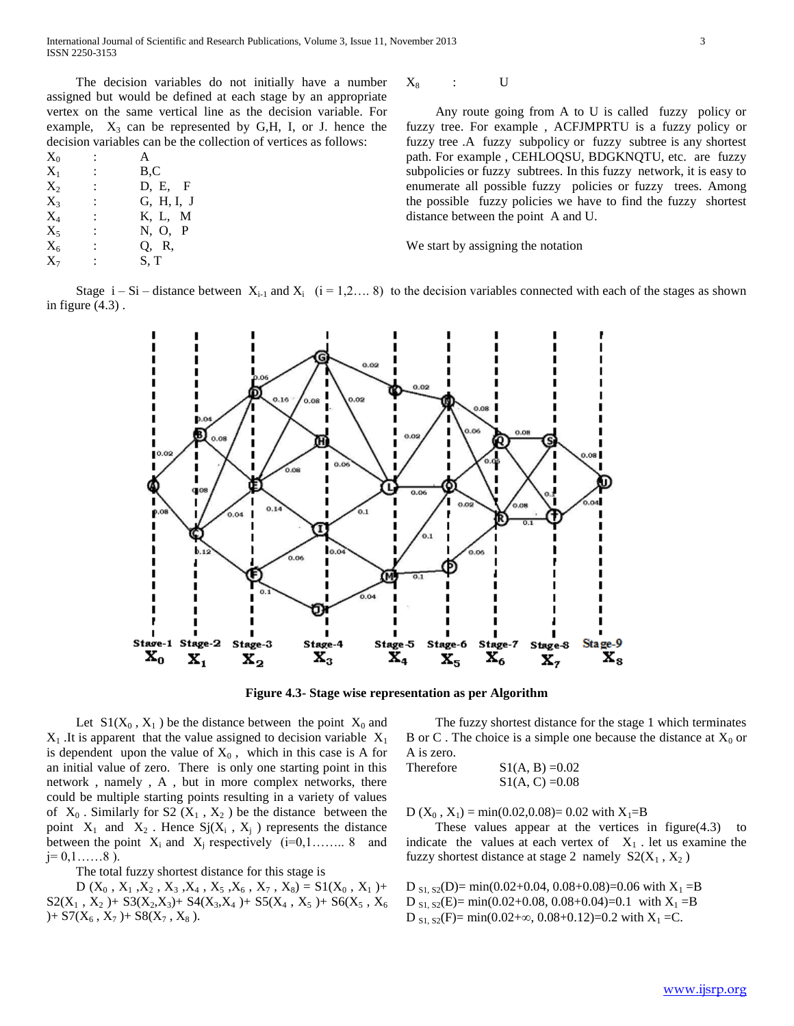The decision variables do not initially have a number assigned but would be defined at each stage by an appropriate vertex on the same vertical line as the decision variable. For example,  $X_3$  can be represented by G,H, I, or J. hence the decision variables can be the collection of vertices as follows:

| $X_0$                       |                      | A          |
|-----------------------------|----------------------|------------|
| $X_1$                       |                      | B, C       |
| $X_{2}$                     | İ.                   | D, E, F    |
| $X_{3}$                     | $\ddot{\phantom{0}}$ | G, H, I, J |
| $X_{\scriptscriptstyle{A}}$ | $\ddot{\phantom{a}}$ | K, L, M    |
| $X_5$                       |                      | N, O, P    |
| $X_6$                       | İ.                   | Q, R,      |
| $X_7$                       |                      | S, T       |
|                             |                      |            |

 $X_8$  : U

 Any route going from A to U is called fuzzy policy or fuzzy tree. For example , ACFJMPRTU is a fuzzy policy or fuzzy tree .A fuzzy subpolicy or fuzzy subtree is any shortest path. For example , CEHLOQSU, BDGKNQTU, etc. are fuzzy subpolicies or fuzzy subtrees. In this fuzzy network, it is easy to enumerate all possible fuzzy policies or fuzzy trees. Among the possible fuzzy policies we have to find the fuzzy shortest distance between the point A and U.

We start by assigning the notation

Stage  $i - Si - distance$  between  $X_{i-1}$  and  $X_i$   $(i = 1, 2, \ldots, 8)$  to the decision variables connected with each of the stages as shown in figure (4.3) .



**Figure 4.3- Stage wise representation as per Algorithm**

Let  $S1(X_0, X_1)$  be the distance between the point  $X_0$  and  $X_1$ . It is apparent that the value assigned to decision variable  $X_1$ is dependent upon the value of  $X_0$ , which in this case is A for an initial value of zero. There is only one starting point in this network , namely , A , but in more complex networks, there could be multiple starting points resulting in a variety of values of  $X_0$ . Similarly for S2 ( $X_1$ ,  $X_2$ ) be the distance between the point  $X_1$  and  $X_2$ . Hence  $Sj(X_i, X_j)$  represents the distance between the point  $X_i$  and  $X_j$  respectively (i=0,1…….. 8 and  $j= 0,1,......8$ ).

The total fuzzy shortest distance for this stage is

D  $(X_0, X_1, X_2, X_3, X_4, X_5, X_6, X_7, X_8) = S1(X_0, X_1) +$  $S2(X_1, X_2)$  +  $S3(X_2, X_3)$  +  $S4(X_3, X_4)$  +  $S5(X_4, X_5)$  +  $S6(X_5, X_6)$ )+  $S7(X_6, X_7)$ +  $S8(X_7, X_8)$ .

 The fuzzy shortest distance for the stage 1 which terminates B or C. The choice is a simple one because the distance at  $X_0$  or A is zero.

Therefore  $S1(A, B) = 0.02$  $S1(A, C) = 0.08$ 

D  $(X_0, X_1)$  = min(0.02,0.08)= 0.02 with  $X_1 = B$ 

 These values appear at the vertices in figure(4.3) to indicate the values at each vertex of  $X_1$ . let us examine the fuzzy shortest distance at stage 2 namely  $S2(X_1, X_2)$ 

D  $_{S_1, S_2}(D)$  = min(0.02+0.04, 0.08+0.08)=0.06 with  $X_1 = B$ D  $_{S_1, S_2}(E)$  = min(0.02+0.08, 0.08+0.04)=0.1 with  $X_1 = B$ D  $_{S1, S2}(F)$  = min(0.02+ $\infty$ , 0.08+0.12)=0.2 with  $X_1$  =C.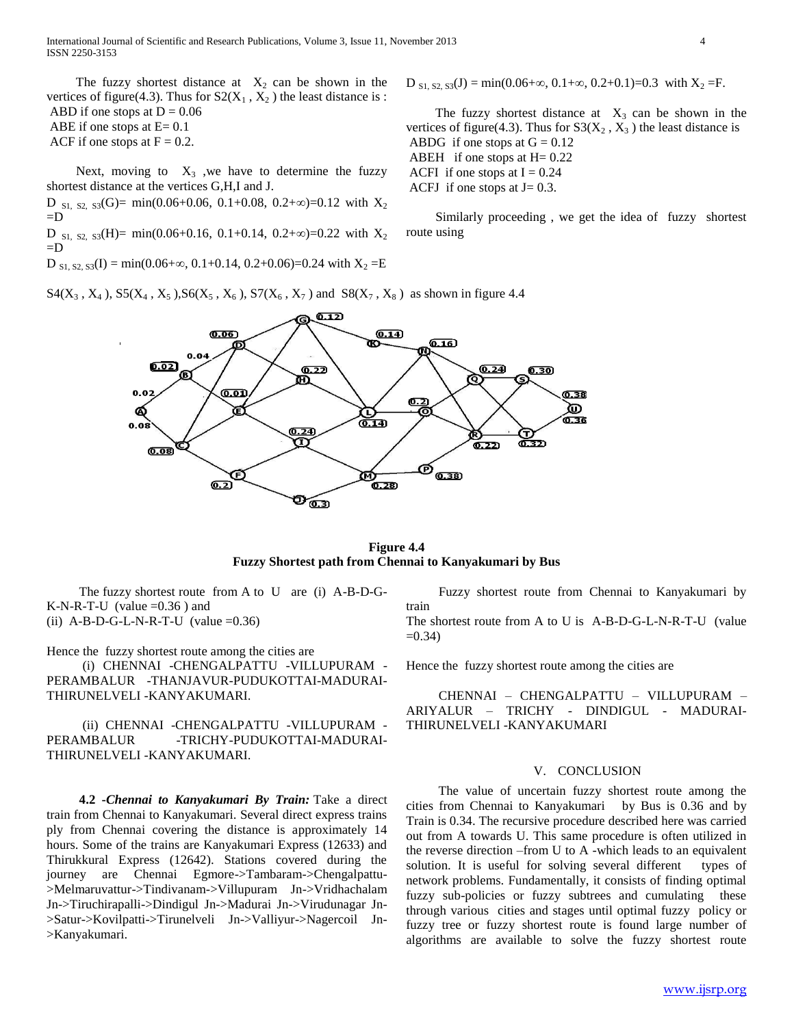International Journal of Scientific and Research Publications, Volume 3, Issue 11, November 2013 4 ISSN 2250-3153

The fuzzy shortest distance at  $X_2$  can be shown in the vertices of figure(4.3). Thus for  $S2(X_1, X_2)$  the least distance is : ABD if one stops at  $D = 0.06$ 

ABE if one stops at  $E = 0.1$ 

ACF if one stops at  $F = 0.2$ .

Next, moving to  $X_3$  , we have to determine the fuzzy shortest distance at the vertices G,H,I and J.

D  $_{\text{S1, S2, S3}}(G)$  = min(0.06+0.06, 0.1+0.08, 0.2+ $\infty$ )=0.12 with  $X_2$  $=$ D

D s<sub>1, S2</sub>, s<sub>3</sub>(H)= min(0.06+0.16, 0.1+0.14, 0.2+ $\infty$ )=0.22 with X<sub>2</sub>  $=$ D

D  $_{S1, S2, S3}(I) = min(0.06+\infty, 0.1+0.14, 0.2+0.06)=0.24$  with  $X_2 =E$ 

 $S4(X_3, X_4)$ ,  $S5(X_4, X_5)$ ,  $S6(X_5, X_6)$ ,  $S7(X_6, X_7)$  and  $S8(X_7, X_8)$  as shown in figure 4.4

 $D_{s_1, s_2, s_3}(J) = min(0.06+\infty, 0.1+\infty, 0.2+0.1)=0.3$  with  $X_2 = F$ .

The fuzzy shortest distance at  $X_3$  can be shown in the vertices of figure(4.3). Thus for  $S3(X_2, X_3)$  the least distance is ABDG if one stops at  $G = 0.12$ ABEH if one stops at  $H = 0.22$ ACFI if one stops at  $I = 0.24$ ACFJ if one stops at  $J=0.3$ .

 Similarly proceeding , we get the idea of fuzzy shortest route using



 $\sigma_{\overline{\mathbf{0.3}}}$ 

**Figure 4.4 Fuzzy Shortest path from Chennai to Kanyakumari by Bus**

 The fuzzy shortest route from A to U are (i) A-B-D-G-K-N-R-T-U (value  $=0.36$ ) and (ii)  $A-B-D-G-L-N-R-T-U$  (value =0.36)

Hence the fuzzy shortest route among the cities are

 (i) CHENNAI -CHENGALPATTU -VILLUPURAM - PERAMBALUR -THANJAVUR-PUDUKOTTAI-MADURAI-THIRUNELVELI -KANYAKUMARI.

 (ii) CHENNAI -CHENGALPATTU -VILLUPURAM - PERAMBALUR -TRICHY-PUDUKOTTAI-MADURAI-THIRUNELVELI -KANYAKUMARI.

 **4.2 -***Chennai to Kanyakumari By Train:* Take a direct train from Chennai to Kanyakumari. Several direct express trains ply from Chennai covering the distance is approximately 14 hours. Some of the trains are Kanyakumari Express (12633) and Thirukkural Express (12642). Stations covered during the journey are Chennai Egmore->Tambaram->Chengalpattu- >Melmaruvattur->Tindivanam->Villupuram Jn->Vridhachalam Jn->Tiruchirapalli->Dindigul Jn->Madurai Jn->Virudunagar Jn- >Satur->Kovilpatti->Tirunelveli Jn->Valliyur->Nagercoil Jn- >Kanyakumari.

 Fuzzy shortest route from Chennai to Kanyakumari by train

The shortest route from A to U is A-B-D-G-L-N-R-T-U (value  $=0.34$ )

Hence the fuzzy shortest route among the cities are

 CHENNAI – CHENGALPATTU – VILLUPURAM – ARIYALUR – TRICHY - DINDIGUL - MADURAI-THIRUNELVELI -KANYAKUMARI

#### V. CONCLUSION

 The value of uncertain fuzzy shortest route among the cities from Chennai to Kanyakumari by Bus is 0.36 and by Train is 0.34. The recursive procedure described here was carried out from A towards U. This same procedure is often utilized in the reverse direction –from U to A -which leads to an equivalent solution. It is useful for solving several different types of network problems. Fundamentally, it consists of finding optimal fuzzy sub-policies or fuzzy subtrees and cumulating these through various cities and stages until optimal fuzzy policy or fuzzy tree or fuzzy shortest route is found large number of algorithms are available to solve the fuzzy shortest route